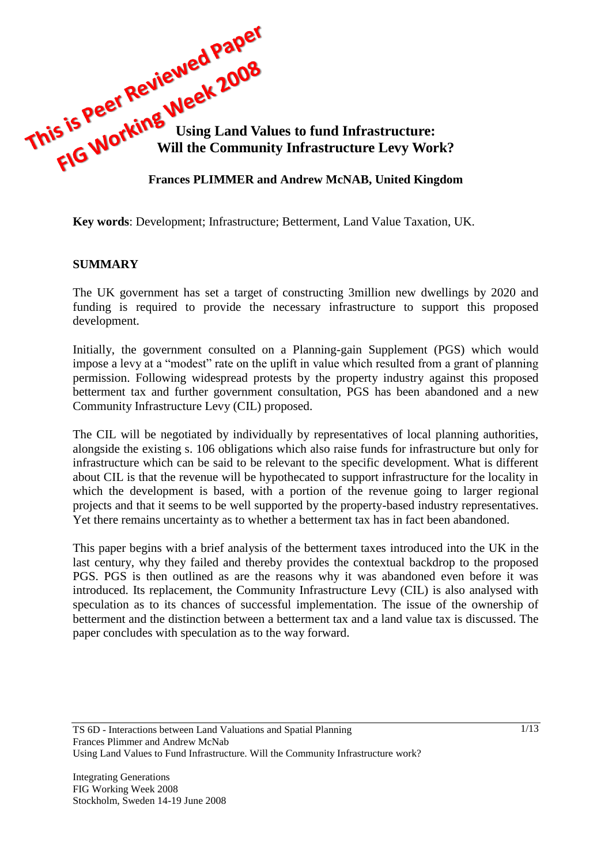

**Key words**: Development; Infrastructure; Betterment, Land Value Taxation, UK.

#### **SUMMARY**

The UK government has set a target of constructing 3million new dwellings by 2020 and funding is required to provide the necessary infrastructure to support this proposed development.

Initially, the government consulted on a Planning-gain Supplement (PGS) which would impose a levy at a "modest" rate on the uplift in value which resulted from a grant of planning permission. Following widespread protests by the property industry against this proposed betterment tax and further government consultation, PGS has been abandoned and a new Community Infrastructure Levy (CIL) proposed.

The CIL will be negotiated by individually by representatives of local planning authorities, alongside the existing s. 106 obligations which also raise funds for infrastructure but only for infrastructure which can be said to be relevant to the specific development. What is different about CIL is that the revenue will be hypothecated to support infrastructure for the locality in which the development is based, with a portion of the revenue going to larger regional projects and that it seems to be well supported by the property-based industry representatives. Yet there remains uncertainty as to whether a betterment tax has in fact been abandoned.

This paper begins with a brief analysis of the betterment taxes introduced into the UK in the last century, why they failed and thereby provides the contextual backdrop to the proposed PGS. PGS is then outlined as are the reasons why it was abandoned even before it was introduced. Its replacement, the Community Infrastructure Levy (CIL) is also analysed with speculation as to its chances of successful implementation. The issue of the ownership of betterment and the distinction between a betterment tax and a land value tax is discussed. The paper concludes with speculation as to the way forward.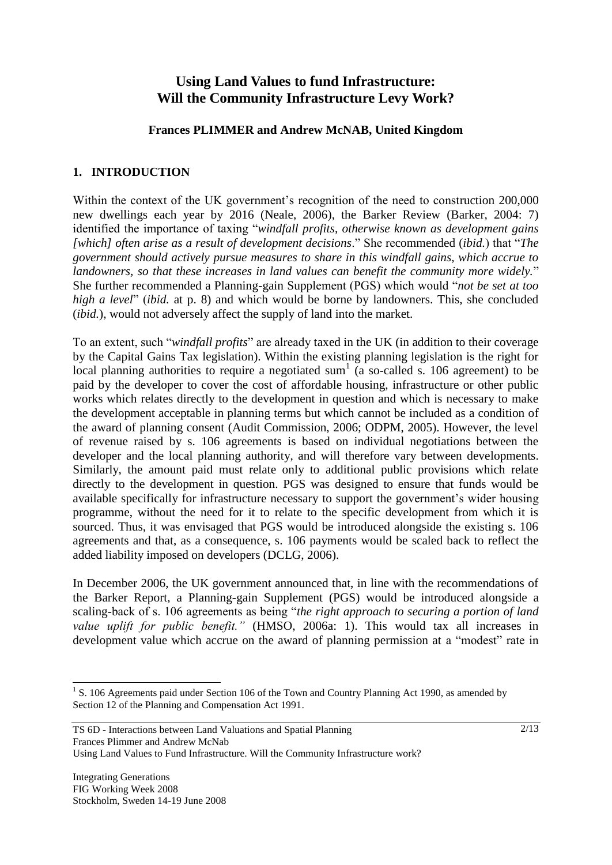# **Using Land Values to fund Infrastructure: Will the Community Infrastructure Levy Work?**

#### **Frances PLIMMER and Andrew McNAB, United Kingdom**

#### **1. INTRODUCTION**

Within the context of the UK government's recognition of the need to construction 200,000 new dwellings each year by 2016 (Neale, 2006), the Barker Review (Barker, 2004: 7) identified the importance of taxing "*windfall profits, otherwise known as development gains [which] often arise as a result of development decisions*." She recommended (*ibid.*) that "*The government should actively pursue measures to share in this windfall gains, which accrue to landowners, so that these increases in land values can benefit the community more widely.*" She further recommended a Planning-gain Supplement (PGS) which would "*not be set at too high a level*" (*ibid.* at p. 8) and which would be borne by landowners. This, she concluded (*ibid.*), would not adversely affect the supply of land into the market.

To an extent, such "*windfall profits*" are already taxed in the UK (in addition to their coverage by the Capital Gains Tax legislation). Within the existing planning legislation is the right for local planning authorities to require a negotiated sum<sup>1</sup> (a so-called s. 106 agreement) to be paid by the developer to cover the cost of affordable housing, infrastructure or other public works which relates directly to the development in question and which is necessary to make the development acceptable in planning terms but which cannot be included as a condition of the award of planning consent (Audit Commission, 2006; ODPM, 2005). However, the level of revenue raised by s. 106 agreements is based on individual negotiations between the developer and the local planning authority, and will therefore vary between developments. Similarly, the amount paid must relate only to additional public provisions which relate directly to the development in question. PGS was designed to ensure that funds would be available specifically for infrastructure necessary to support the government's wider housing programme, without the need for it to relate to the specific development from which it is sourced. Thus, it was envisaged that PGS would be introduced alongside the existing s. 106 agreements and that, as a consequence, s. 106 payments would be scaled back to reflect the added liability imposed on developers (DCLG, 2006).

In December 2006, the UK government announced that, in line with the recommendations of the Barker Report, a Planning-gain Supplement (PGS) would be introduced alongside a scaling-back of s. 106 agreements as being "*the right approach to securing a portion of land value uplift for public benefit."* (HMSO, 2006a: 1). This would tax all increases in development value which accrue on the award of planning permission at a "modest" rate in

 $\overline{a}$ <sup>1</sup> S. 106 Agreements paid under Section 106 of the Town and Country Planning Act 1990, as amended by Section 12 of the Planning and Compensation Act 1991.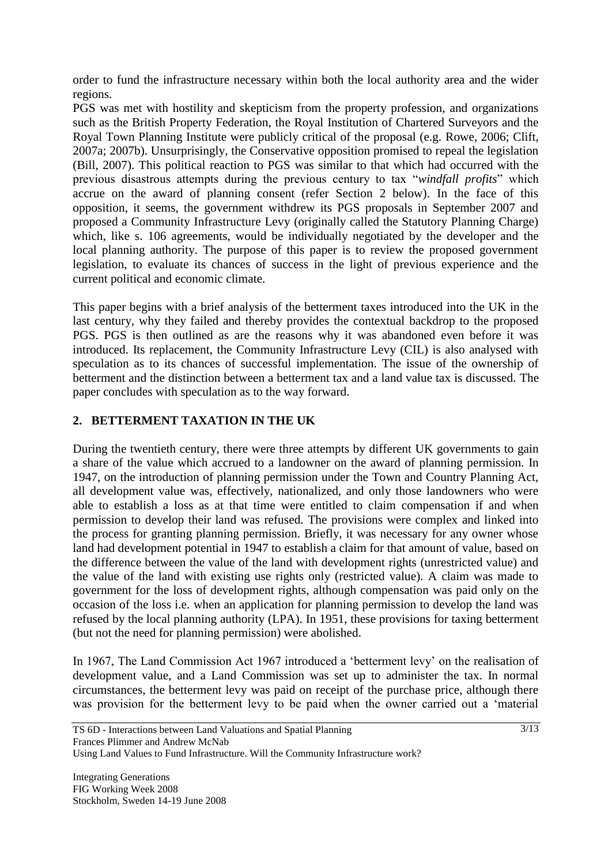order to fund the infrastructure necessary within both the local authority area and the wider regions.

PGS was met with hostility and skepticism from the property profession, and organizations such as the British Property Federation, the Royal Institution of Chartered Surveyors and the Royal Town Planning Institute were publicly critical of the proposal (e.g. Rowe, 2006; Clift, 2007a; 2007b). Unsurprisingly, the Conservative opposition promised to repeal the legislation (Bill, 2007). This political reaction to PGS was similar to that which had occurred with the previous disastrous attempts during the previous century to tax "*windfall profits*" which accrue on the award of planning consent (refer Section 2 below). In the face of this opposition, it seems, the government withdrew its PGS proposals in September 2007 and proposed a Community Infrastructure Levy (originally called the Statutory Planning Charge) which, like s. 106 agreements, would be individually negotiated by the developer and the local planning authority. The purpose of this paper is to review the proposed government legislation, to evaluate its chances of success in the light of previous experience and the current political and economic climate.

This paper begins with a brief analysis of the betterment taxes introduced into the UK in the last century, why they failed and thereby provides the contextual backdrop to the proposed PGS. PGS is then outlined as are the reasons why it was abandoned even before it was introduced. Its replacement, the Community Infrastructure Levy (CIL) is also analysed with speculation as to its chances of successful implementation. The issue of the ownership of betterment and the distinction between a betterment tax and a land value tax is discussed. The paper concludes with speculation as to the way forward.

# **2. BETTERMENT TAXATION IN THE UK**

During the twentieth century, there were three attempts by different UK governments to gain a share of the value which accrued to a landowner on the award of planning permission. In 1947, on the introduction of planning permission under the Town and Country Planning Act, all development value was, effectively, nationalized, and only those landowners who were able to establish a loss as at that time were entitled to claim compensation if and when permission to develop their land was refused. The provisions were complex and linked into the process for granting planning permission. Briefly, it was necessary for any owner whose land had development potential in 1947 to establish a claim for that amount of value, based on the difference between the value of the land with development rights (unrestricted value) and the value of the land with existing use rights only (restricted value). A claim was made to government for the loss of development rights, although compensation was paid only on the occasion of the loss i.e. when an application for planning permission to develop the land was refused by the local planning authority (LPA). In 1951, these provisions for taxing betterment (but not the need for planning permission) were abolished.

In 1967, The Land Commission Act 1967 introduced a "betterment levy" on the realisation of development value, and a Land Commission was set up to administer the tax. In normal circumstances, the betterment levy was paid on receipt of the purchase price, although there was provision for the betterment levy to be paid when the owner carried out a "material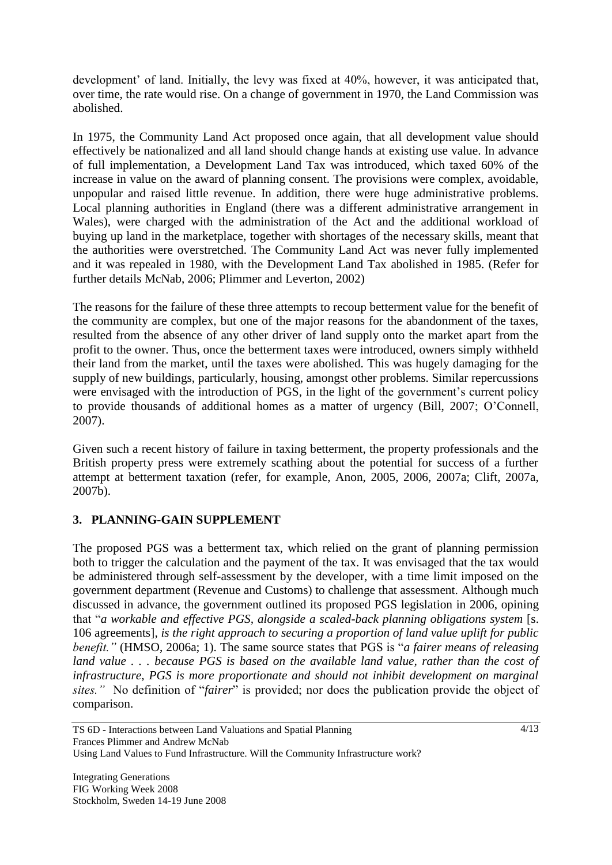development' of land. Initially, the levy was fixed at 40%, however, it was anticipated that, over time, the rate would rise. On a change of government in 1970, the Land Commission was abolished.

In 1975, the Community Land Act proposed once again, that all development value should effectively be nationalized and all land should change hands at existing use value. In advance of full implementation, a Development Land Tax was introduced, which taxed 60% of the increase in value on the award of planning consent. The provisions were complex, avoidable, unpopular and raised little revenue. In addition, there were huge administrative problems. Local planning authorities in England (there was a different administrative arrangement in Wales), were charged with the administration of the Act and the additional workload of buying up land in the marketplace, together with shortages of the necessary skills, meant that the authorities were overstretched. The Community Land Act was never fully implemented and it was repealed in 1980, with the Development Land Tax abolished in 1985. (Refer for further details McNab, 2006; Plimmer and Leverton, 2002)

The reasons for the failure of these three attempts to recoup betterment value for the benefit of the community are complex, but one of the major reasons for the abandonment of the taxes, resulted from the absence of any other driver of land supply onto the market apart from the profit to the owner. Thus, once the betterment taxes were introduced, owners simply withheld their land from the market, until the taxes were abolished. This was hugely damaging for the supply of new buildings, particularly, housing, amongst other problems. Similar repercussions were envisaged with the introduction of PGS, in the light of the government's current policy to provide thousands of additional homes as a matter of urgency (Bill, 2007; O"Connell, 2007).

Given such a recent history of failure in taxing betterment, the property professionals and the British property press were extremely scathing about the potential for success of a further attempt at betterment taxation (refer, for example, Anon, 2005, 2006, 2007a; Clift, 2007a, 2007b).

# **3. PLANNING-GAIN SUPPLEMENT**

The proposed PGS was a betterment tax, which relied on the grant of planning permission both to trigger the calculation and the payment of the tax. It was envisaged that the tax would be administered through self-assessment by the developer, with a time limit imposed on the government department (Revenue and Customs) to challenge that assessment. Although much discussed in advance, the government outlined its proposed PGS legislation in 2006, opining that "*a workable and effective PGS, alongside a scaled-back planning obligations system* [s. 106 agreements]*, is the right approach to securing a proportion of land value uplift for public benefit."* (HMSO, 2006a; 1). The same source states that PGS is "*a fairer means of releasing*  land value . . . because PGS is based on the available land value, rather than the cost of *infrastructure, PGS is more proportionate and should not inhibit development on marginal sites."* No definition of "*fairer*" is provided; nor does the publication provide the object of comparison.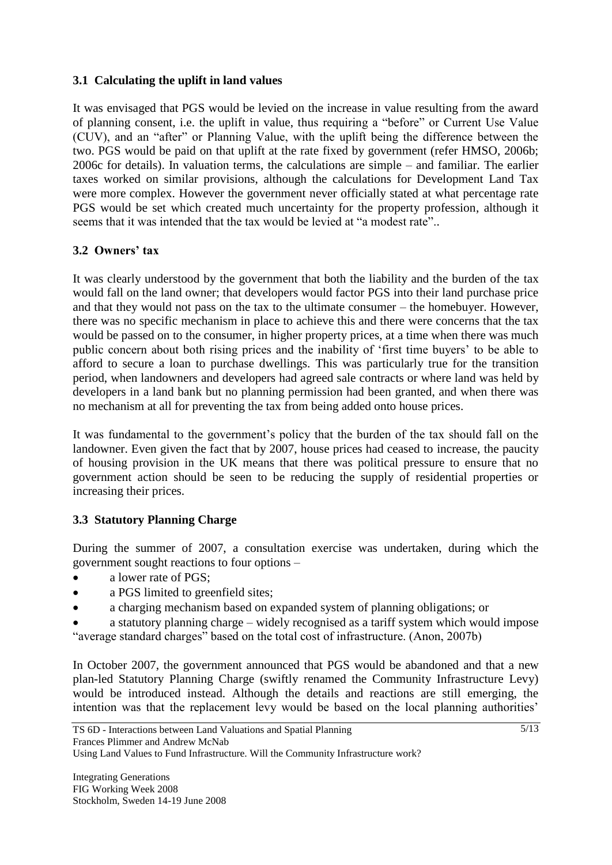#### **3.1 Calculating the uplift in land values**

It was envisaged that PGS would be levied on the increase in value resulting from the award of planning consent, i.e. the uplift in value, thus requiring a "before" or Current Use Value (CUV), and an "after" or Planning Value, with the uplift being the difference between the two. PGS would be paid on that uplift at the rate fixed by government (refer HMSO, 2006b; 2006c for details). In valuation terms, the calculations are simple – and familiar. The earlier taxes worked on similar provisions, although the calculations for Development Land Tax were more complex. However the government never officially stated at what percentage rate PGS would be set which created much uncertainty for the property profession, although it seems that it was intended that the tax would be levied at "a modest rate"..

# **3.2 Owners' tax**

It was clearly understood by the government that both the liability and the burden of the tax would fall on the land owner; that developers would factor PGS into their land purchase price and that they would not pass on the tax to the ultimate consumer – the homebuyer. However, there was no specific mechanism in place to achieve this and there were concerns that the tax would be passed on to the consumer, in higher property prices, at a time when there was much public concern about both rising prices and the inability of "first time buyers" to be able to afford to secure a loan to purchase dwellings. This was particularly true for the transition period, when landowners and developers had agreed sale contracts or where land was held by developers in a land bank but no planning permission had been granted, and when there was no mechanism at all for preventing the tax from being added onto house prices.

It was fundamental to the government's policy that the burden of the tax should fall on the landowner. Even given the fact that by 2007, house prices had ceased to increase, the paucity of housing provision in the UK means that there was political pressure to ensure that no government action should be seen to be reducing the supply of residential properties or increasing their prices.

#### **3.3 Statutory Planning Charge**

During the summer of 2007, a consultation exercise was undertaken, during which the government sought reactions to four options –

- a lower rate of PGS;
- a PGS limited to greenfield sites;
- a charging mechanism based on expanded system of planning obligations; or
- a statutory planning charge widely recognised as a tariff system which would impose "average standard charges" based on the total cost of infrastructure. (Anon, 2007b)

In October 2007, the government announced that PGS would be abandoned and that a new plan-led Statutory Planning Charge (swiftly renamed the Community Infrastructure Levy) would be introduced instead. Although the details and reactions are still emerging, the intention was that the replacement levy would be based on the local planning authorities'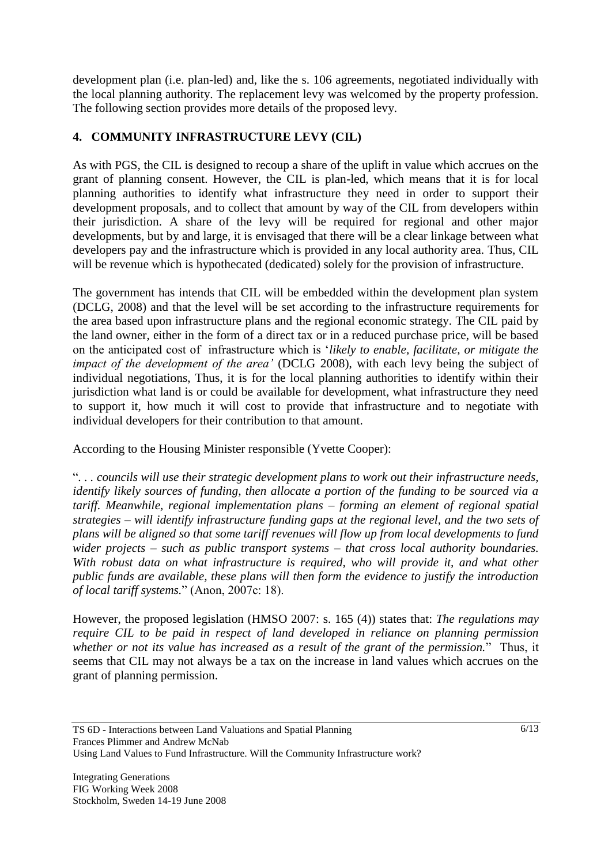development plan (i.e. plan-led) and, like the s. 106 agreements, negotiated individually with the local planning authority. The replacement levy was welcomed by the property profession. The following section provides more details of the proposed levy.

### **4. COMMUNITY INFRASTRUCTURE LEVY (CIL)**

As with PGS, the CIL is designed to recoup a share of the uplift in value which accrues on the grant of planning consent. However, the CIL is plan-led, which means that it is for local planning authorities to identify what infrastructure they need in order to support their development proposals, and to collect that amount by way of the CIL from developers within their jurisdiction. A share of the levy will be required for regional and other major developments, but by and large, it is envisaged that there will be a clear linkage between what developers pay and the infrastructure which is provided in any local authority area. Thus, CIL will be revenue which is hypothecated (dedicated) solely for the provision of infrastructure.

The government has intends that CIL will be embedded within the development plan system (DCLG, 2008) and that the level will be set according to the infrastructure requirements for the area based upon infrastructure plans and the regional economic strategy. The CIL paid by the land owner, either in the form of a direct tax or in a reduced purchase price, will be based on the anticipated cost of infrastructure which is "*likely to enable, facilitate, or mitigate the impact of the development of the area'* (DCLG 2008), with each levy being the subject of individual negotiations, Thus, it is for the local planning authorities to identify within their jurisdiction what land is or could be available for development, what infrastructure they need to support it, how much it will cost to provide that infrastructure and to negotiate with individual developers for their contribution to that amount.

According to the Housing Minister responsible (Yvette Cooper):

"*. . . councils will use their strategic development plans to work out their infrastructure needs, identify likely sources of funding, then allocate a portion of the funding to be sourced via a tariff. Meanwhile, regional implementation plans – forming an element of regional spatial strategies – will identify infrastructure funding gaps at the regional level, and the two sets of plans will be aligned so that some tariff revenues will flow up from local developments to fund wider projects – such as public transport systems – that cross local authority boundaries. With robust data on what infrastructure is required, who will provide it, and what other public funds are available, these plans will then form the evidence to justify the introduction of local tariff systems.*" (Anon, 2007c: 18).

However, the proposed legislation (HMSO 2007: s. 165 (4)) states that: *The regulations may require CIL to be paid in respect of land developed in reliance on planning permission whether or not its value has increased as a result of the grant of the permission.*" Thus, it seems that CIL may not always be a tax on the increase in land values which accrues on the grant of planning permission.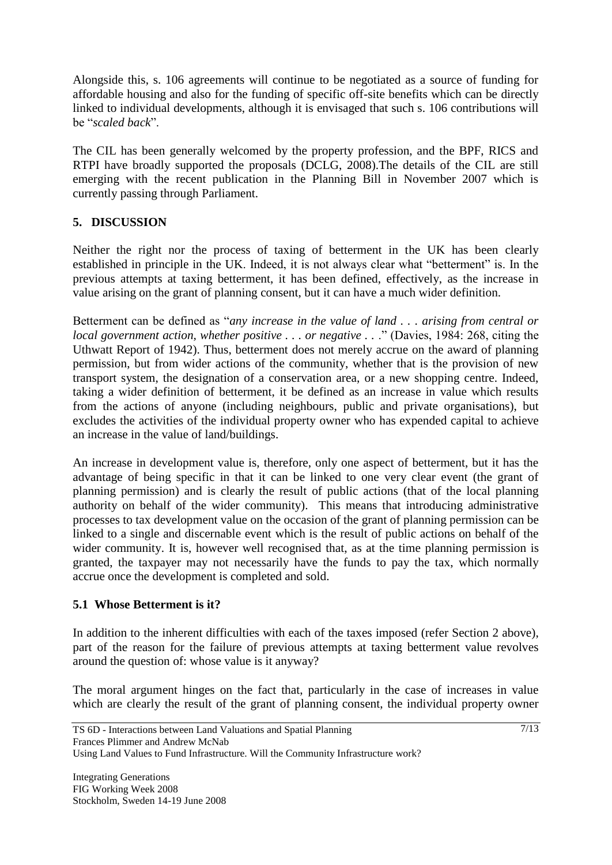Alongside this, s. 106 agreements will continue to be negotiated as a source of funding for affordable housing and also for the funding of specific off-site benefits which can be directly linked to individual developments, although it is envisaged that such s. 106 contributions will be "*scaled back*".

The CIL has been generally welcomed by the property profession, and the BPF, RICS and RTPI have broadly supported the proposals (DCLG, 2008).The details of the CIL are still emerging with the recent publication in the Planning Bill in November 2007 which is currently passing through Parliament.

# **5. DISCUSSION**

Neither the right nor the process of taxing of betterment in the UK has been clearly established in principle in the UK. Indeed, it is not always clear what "betterment" is. In the previous attempts at taxing betterment, it has been defined, effectively, as the increase in value arising on the grant of planning consent, but it can have a much wider definition.

Betterment can be defined as "*any increase in the value of land . . . arising from central or local government action, whether positive ... or negative ...*" (Davies, 1984: 268, citing the Uthwatt Report of 1942). Thus, betterment does not merely accrue on the award of planning permission, but from wider actions of the community, whether that is the provision of new transport system, the designation of a conservation area, or a new shopping centre. Indeed, taking a wider definition of betterment, it be defined as an increase in value which results from the actions of anyone (including neighbours, public and private organisations), but excludes the activities of the individual property owner who has expended capital to achieve an increase in the value of land/buildings.

An increase in development value is, therefore, only one aspect of betterment, but it has the advantage of being specific in that it can be linked to one very clear event (the grant of planning permission) and is clearly the result of public actions (that of the local planning authority on behalf of the wider community). This means that introducing administrative processes to tax development value on the occasion of the grant of planning permission can be linked to a single and discernable event which is the result of public actions on behalf of the wider community. It is, however well recognised that, as at the time planning permission is granted, the taxpayer may not necessarily have the funds to pay the tax, which normally accrue once the development is completed and sold.

#### **5.1 Whose Betterment is it?**

In addition to the inherent difficulties with each of the taxes imposed (refer Section 2 above), part of the reason for the failure of previous attempts at taxing betterment value revolves around the question of: whose value is it anyway?

The moral argument hinges on the fact that, particularly in the case of increases in value which are clearly the result of the grant of planning consent, the individual property owner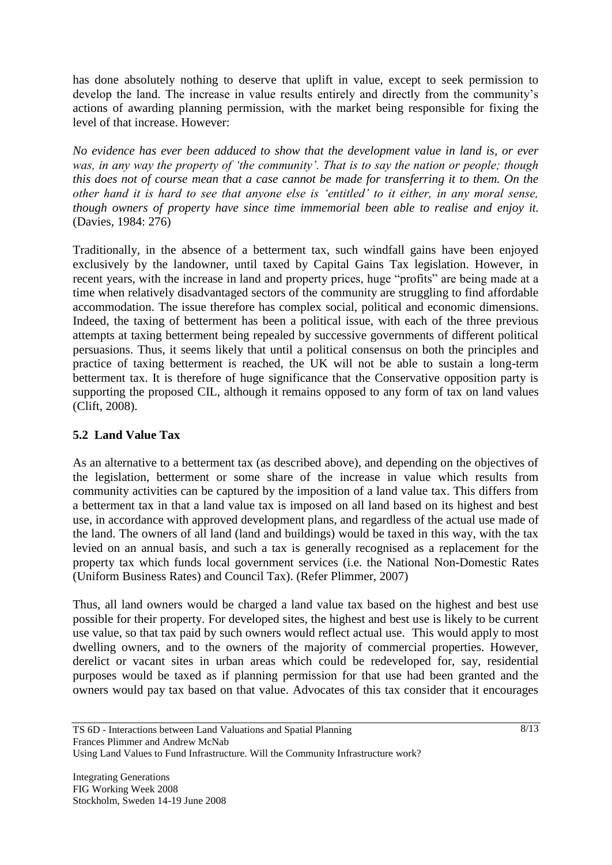has done absolutely nothing to deserve that uplift in value, except to seek permission to develop the land. The increase in value results entirely and directly from the community's actions of awarding planning permission, with the market being responsible for fixing the level of that increase. However:

*No evidence has ever been adduced to show that the development value in land is, or ever was, in any way the property of 'the community'. That is to say the nation or people; though this does not of course mean that a case cannot be made for transferring it to them. On the other hand it is hard to see that anyone else is 'entitled' to it either, in any moral sense, though owners of property have since time immemorial been able to realise and enjoy it.*  (Davies, 1984: 276)

Traditionally, in the absence of a betterment tax, such windfall gains have been enjoyed exclusively by the landowner, until taxed by Capital Gains Tax legislation. However, in recent years, with the increase in land and property prices, huge "profits" are being made at a time when relatively disadvantaged sectors of the community are struggling to find affordable accommodation. The issue therefore has complex social, political and economic dimensions. Indeed, the taxing of betterment has been a political issue, with each of the three previous attempts at taxing betterment being repealed by successive governments of different political persuasions. Thus, it seems likely that until a political consensus on both the principles and practice of taxing betterment is reached, the UK will not be able to sustain a long-term betterment tax. It is therefore of huge significance that the Conservative opposition party is supporting the proposed CIL, although it remains opposed to any form of tax on land values (Clift, 2008).

# **5.2 Land Value Tax**

As an alternative to a betterment tax (as described above), and depending on the objectives of the legislation, betterment or some share of the increase in value which results from community activities can be captured by the imposition of a land value tax. This differs from a betterment tax in that a land value tax is imposed on all land based on its highest and best use, in accordance with approved development plans, and regardless of the actual use made of the land. The owners of all land (land and buildings) would be taxed in this way, with the tax levied on an annual basis, and such a tax is generally recognised as a replacement for the property tax which funds local government services (i.e. the National Non-Domestic Rates (Uniform Business Rates) and Council Tax). (Refer Plimmer, 2007)

Thus, all land owners would be charged a land value tax based on the highest and best use possible for their property. For developed sites, the highest and best use is likely to be current use value, so that tax paid by such owners would reflect actual use. This would apply to most dwelling owners, and to the owners of the majority of commercial properties. However, derelict or vacant sites in urban areas which could be redeveloped for, say, residential purposes would be taxed as if planning permission for that use had been granted and the owners would pay tax based on that value. Advocates of this tax consider that it encourages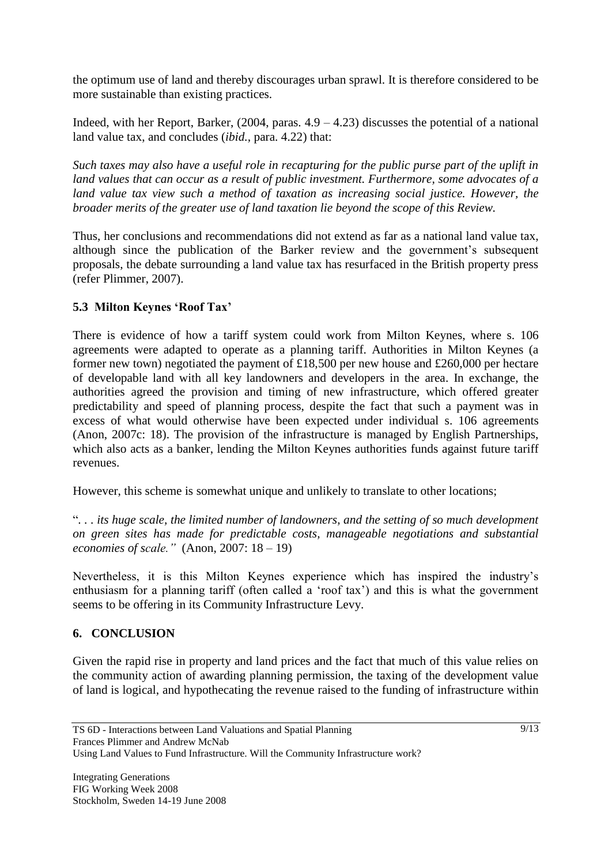the optimum use of land and thereby discourages urban sprawl. It is therefore considered to be more sustainable than existing practices.

Indeed, with her Report, Barker,  $(2004, \text{ paras. } 4.9 - 4.23)$  discusses the potential of a national land value tax, and concludes (*ibid.,* para. 4.22) that:

*Such taxes may also have a useful role in recapturing for the public purse part of the uplift in land values that can occur as a result of public investment. Furthermore, some advocates of a land value tax view such a method of taxation as increasing social justice. However, the broader merits of the greater use of land taxation lie beyond the scope of this Review.*

Thus, her conclusions and recommendations did not extend as far as a national land value tax, although since the publication of the Barker review and the government's subsequent proposals, the debate surrounding a land value tax has resurfaced in the British property press (refer Plimmer, 2007).

#### **5.3 Milton Keynes 'Roof Tax'**

There is evidence of how a tariff system could work from Milton Keynes, where s. 106 agreements were adapted to operate as a planning tariff. Authorities in Milton Keynes (a former new town) negotiated the payment of £18,500 per new house and £260,000 per hectare of developable land with all key landowners and developers in the area. In exchange, the authorities agreed the provision and timing of new infrastructure, which offered greater predictability and speed of planning process, despite the fact that such a payment was in excess of what would otherwise have been expected under individual s. 106 agreements (Anon, 2007c: 18). The provision of the infrastructure is managed by English Partnerships, which also acts as a banker, lending the Milton Keynes authorities funds against future tariff revenues.

However, this scheme is somewhat unique and unlikely to translate to other locations;

"*. . . its huge scale, the limited number of landowners, and the setting of so much development on green sites has made for predictable costs, manageable negotiations and substantial economies of scale."* (Anon, 2007: 18 – 19)

Nevertheless, it is this Milton Keynes experience which has inspired the industry"s enthusiasm for a planning tariff (often called a 'roof tax') and this is what the government seems to be offering in its Community Infrastructure Levy.

# **6. CONCLUSION**

Given the rapid rise in property and land prices and the fact that much of this value relies on the community action of awarding planning permission, the taxing of the development value of land is logical, and hypothecating the revenue raised to the funding of infrastructure within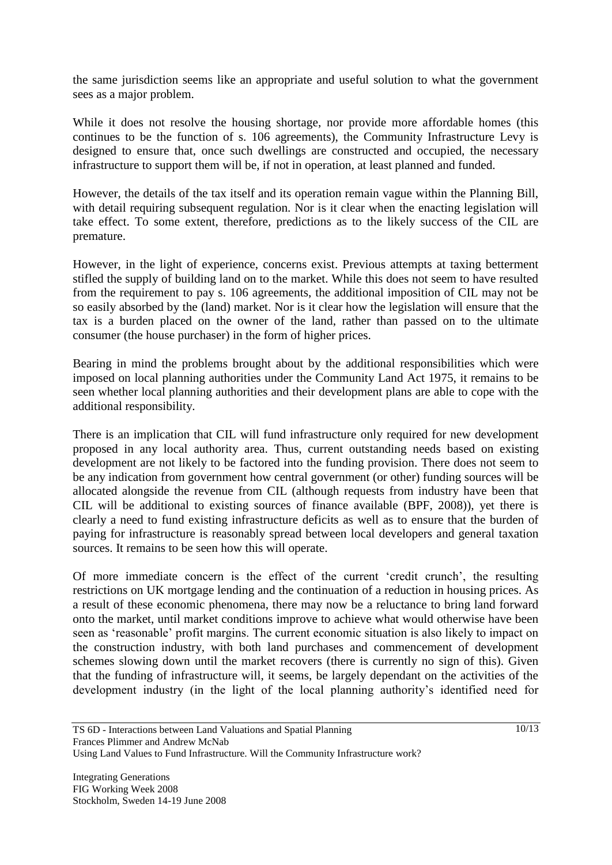the same jurisdiction seems like an appropriate and useful solution to what the government sees as a major problem.

While it does not resolve the housing shortage, nor provide more affordable homes (this continues to be the function of s. 106 agreements), the Community Infrastructure Levy is designed to ensure that, once such dwellings are constructed and occupied, the necessary infrastructure to support them will be, if not in operation, at least planned and funded.

However, the details of the tax itself and its operation remain vague within the Planning Bill, with detail requiring subsequent regulation. Nor is it clear when the enacting legislation will take effect. To some extent, therefore, predictions as to the likely success of the CIL are premature.

However, in the light of experience, concerns exist. Previous attempts at taxing betterment stifled the supply of building land on to the market. While this does not seem to have resulted from the requirement to pay s. 106 agreements, the additional imposition of CIL may not be so easily absorbed by the (land) market. Nor is it clear how the legislation will ensure that the tax is a burden placed on the owner of the land, rather than passed on to the ultimate consumer (the house purchaser) in the form of higher prices.

Bearing in mind the problems brought about by the additional responsibilities which were imposed on local planning authorities under the Community Land Act 1975, it remains to be seen whether local planning authorities and their development plans are able to cope with the additional responsibility.

There is an implication that CIL will fund infrastructure only required for new development proposed in any local authority area. Thus, current outstanding needs based on existing development are not likely to be factored into the funding provision. There does not seem to be any indication from government how central government (or other) funding sources will be allocated alongside the revenue from CIL (although requests from industry have been that CIL will be additional to existing sources of finance available (BPF, 2008)), yet there is clearly a need to fund existing infrastructure deficits as well as to ensure that the burden of paying for infrastructure is reasonably spread between local developers and general taxation sources. It remains to be seen how this will operate.

Of more immediate concern is the effect of the current "credit crunch", the resulting restrictions on UK mortgage lending and the continuation of a reduction in housing prices. As a result of these economic phenomena, there may now be a reluctance to bring land forward onto the market, until market conditions improve to achieve what would otherwise have been seen as "reasonable" profit margins. The current economic situation is also likely to impact on the construction industry, with both land purchases and commencement of development schemes slowing down until the market recovers (there is currently no sign of this). Given that the funding of infrastructure will, it seems, be largely dependant on the activities of the development industry (in the light of the local planning authority"s identified need for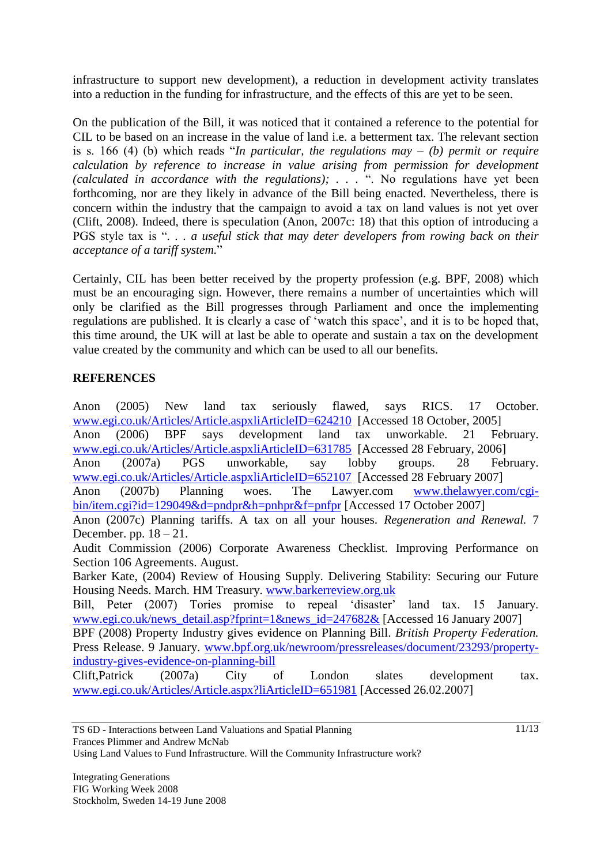infrastructure to support new development), a reduction in development activity translates into a reduction in the funding for infrastructure, and the effects of this are yet to be seen.

On the publication of the Bill, it was noticed that it contained a reference to the potential for CIL to be based on an increase in the value of land i.e. a betterment tax. The relevant section is s. 166 (4) (b) which reads "*In particular, the regulations may – (b) permit or require calculation by reference to increase in value arising from permission for development (calculated in accordance with the regulations); . . .* ". No regulations have yet been forthcoming, nor are they likely in advance of the Bill being enacted. Nevertheless, there is concern within the industry that the campaign to avoid a tax on land values is not yet over (Clift, 2008). Indeed, there is speculation (Anon, 2007c: 18) that this option of introducing a PGS style tax is "*. . . a useful stick that may deter developers from rowing back on their acceptance of a tariff system.*"

Certainly, CIL has been better received by the property profession (e.g. BPF, 2008) which must be an encouraging sign. However, there remains a number of uncertainties which will only be clarified as the Bill progresses through Parliament and once the implementing regulations are published. It is clearly a case of 'watch this space', and it is to be hoped that, this time around, the UK will at last be able to operate and sustain a tax on the development value created by the community and which can be used to all our benefits.

#### **REFERENCES**

Anon (2005) New land tax seriously flawed, says RICS. 17 October. [www.egi.co.uk/Articles/Article.aspxliArticleID=624210](http://www.egi.co.uk/Articles/Article.aspxliArticleID=624210) [Accessed 18 October, 2005] Anon (2006) BPF says development land tax unworkable. 21 February. [www.egi.co.uk/Articles/Article.aspxliArticleID=631785](http://www.egi.co.uk/Articles/Article.aspxliArticleID=631785) [Accessed 28 February, 2006] Anon (2007a) PGS unworkable, say lobby groups. 28 February. [www.egi.co.uk/Articles/Article.aspxliArticleID=652107](http://www.egi.co.uk/Articles/Article.aspxliArticleID=652107) [Accessed 28 February 2007] Anon (2007b) Planning woes. The Lawyer.com [www.thelawyer.com/cgi](http://www.thelawyer.com/cgi-bin/item.cgi?id=129049&d=pndpr&h=pnhpr&f=pnfpr)[bin/item.cgi?id=129049&d=pndpr&h=pnhpr&f=pnfpr](http://www.thelawyer.com/cgi-bin/item.cgi?id=129049&d=pndpr&h=pnhpr&f=pnfpr) [Accessed 17 October 2007] Anon (2007c) Planning tariffs. A tax on all your houses. *Regeneration and Renewal.* 7 December. pp.  $18 - 21$ . Audit Commission (2006) Corporate Awareness Checklist. Improving Performance on Section 106 Agreements. August. Barker Kate, (2004) Review of Housing Supply. Delivering Stability: Securing our Future Housing Needs. March. HM Treasury. [www.barkerreview.org.uk](http://www.barkerreview.org.uk/) Bill, Peter (2007) Tories promise to repeal 'disaster' land tax. 15 January. [www.egi.co.uk/news\\_detail.asp?fprint=1&news\\_id=247682&](http://www.egi.co.uk/news_detail.asp?fprint=1&news_id=247682&) [Accessed 16 January 2007] BPF (2008) Property Industry gives evidence on Planning Bill. *British Property Federation.*  Press Release. 9 January. [www.bpf.org.uk/newroom/pressreleases/document/23293/property](http://www.bpf.org.uk/newroom/pressreleases/document/23293/property-industry-gives-evidence-on-planning-bill)[industry-gives-evidence-on-planning-bill](http://www.bpf.org.uk/newroom/pressreleases/document/23293/property-industry-gives-evidence-on-planning-bill) Clift,Patrick (2007a) City of London slates development tax. [www.egi.co.uk/Articles/Article.aspx?liArticleID=651981](http://www.egi.co.uk/Articles/Article.aspx?liArticleID=651981) [Accessed 26.02.2007]

Using Land Values to Fund Infrastructure. Will the Community Infrastructure work?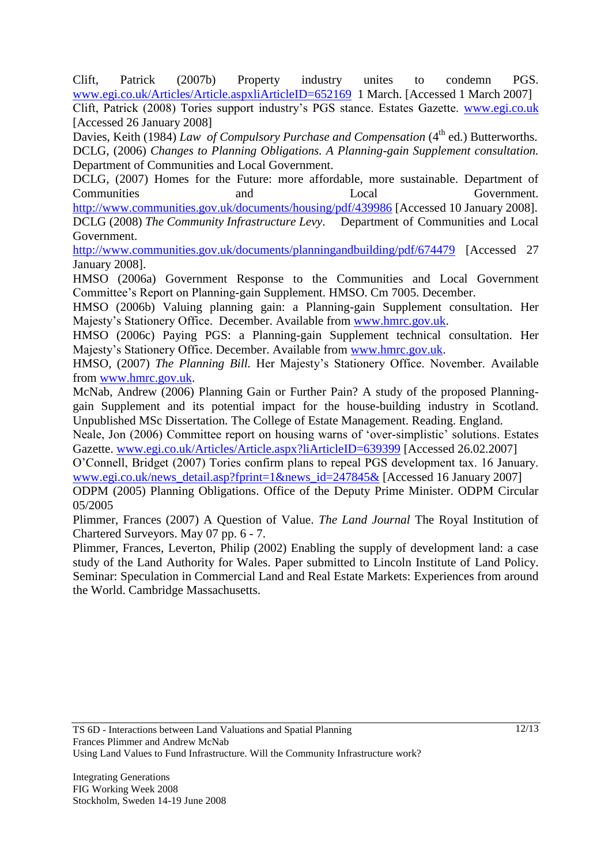Clift, Patrick (2007b) Property industry unites to condemn PGS. [www.egi.co.uk/Articles/Article.aspxliArticleID=652169](http://www.egi.co.uk/Articles/Article.aspxliArticleID=652169) 1 March. [Accessed 1 March 2007]

Clift, Patrick (2008) Tories support industry"s PGS stance. Estates Gazette. [www.egi.co.uk](http://www.egi.co.uk/) [Accessed 26 January 2008]

Davies, Keith (1984) *Law of Compulsory Purchase and Compensation* (4<sup>th</sup> ed.) Butterworths. DCLG, (2006) *Changes to Planning Obligations. A Planning-gain Supplement consultation.* Department of Communities and Local Government.

DCLG, (2007) Homes for the Future: more affordable, more sustainable. Department of Communities and Local Government. <http://www.communities.gov.uk/documents/housing/pdf/439986> [Accessed 10 January 2008]. DCLG (2008) *The Community Infrastructure Levy*. Department of Communities and Local Government.

<http://www.communities.gov.uk/documents/planningandbuilding/pdf/674479> [Accessed 27] January 2008].

HMSO (2006a) Government Response to the Communities and Local Government Committee"s Report on Planning-gain Supplement. HMSO. Cm 7005. December.

HMSO (2006b) Valuing planning gain: a Planning-gain Supplement consultation. Her Majesty"s Stationery Office. December. Available from [www.hmrc.gov.uk.](http://www.hmrc.gov.uk/)

HMSO (2006c) Paying PGS: a Planning-gain Supplement technical consultation. Her Majesty"s Stationery Office. December. Available from [www.hmrc.gov.uk.](http://www.hmrc.gov.uk/)

HMSO, (2007) *The Planning Bill.* Her Majesty"s Stationery Office. November. Available from [www.hmrc.gov.uk.](http://www.hmrc.gov.uk/)

McNab, Andrew (2006) Planning Gain or Further Pain? A study of the proposed Planninggain Supplement and its potential impact for the house-building industry in Scotland. Unpublished MSc Dissertation. The College of Estate Management. Reading. England.

Neale, Jon (2006) Committee report on housing warns of "over-simplistic" solutions. Estates Gazette. [www.egi.co.uk/Articles/Article.aspx?liArticleID=639399](http://www.egi.co.uk/Articles/Article.aspx?liArticleID=639399) [Accessed 26.02.2007]

O"Connell, Bridget (2007) Tories confirm plans to repeal PGS development tax. 16 January. [www.egi.co.uk/news\\_detail.asp?fprint=1&news\\_id=247845&](http://www.egi.co.uk/news_detail.asp?fprint=1&news_id=247845&) [Accessed 16 January 2007]

ODPM (2005) Planning Obligations. Office of the Deputy Prime Minister. ODPM Circular 05/2005

Plimmer, Frances (2007) A Question of Value. *The Land Journal* The Royal Institution of Chartered Surveyors. May 07 pp. 6 - 7.

Plimmer, Frances, Leverton, Philip (2002) Enabling the supply of development land: a case study of the Land Authority for Wales. Paper submitted to Lincoln Institute of Land Policy. Seminar: Speculation in Commercial Land and Real Estate Markets: Experiences from around the World. Cambridge Massachusetts.